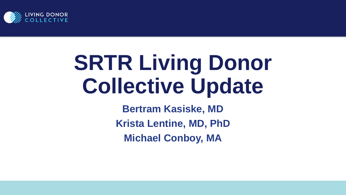

# **SRTR Living Donor Collective Update**

**Bertram Kasiske, MD Krista Lentine, MD, PhD Michael Conboy, MA**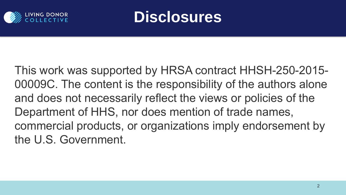



This work was supported by HRSA contract HHSH-250-2015- 00009C. The content is the responsibility of the authors alone and does not necessarily reflect the views or policies of the Department of HHS, nor does mention of trade names, commercial products, or organizations imply endorsement by the U.S. Government.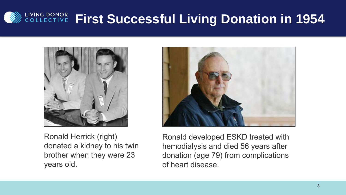## **EQUE DONOR FIRST SUCCESSful Living Donation in 1954**



Ronald Herrick (right) donated a kidney to his twin brother when they were 23 years old.



Ronald developed ESKD treated with hemodialysis and died 56 years after donation (age 79) from complications of heart disease.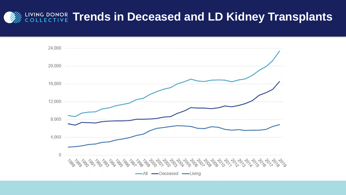#### **EIVING DONOR Trends in Deceased and LD Kidney Transplants**

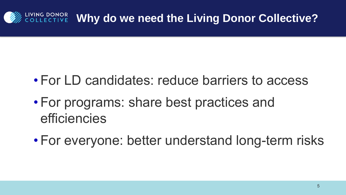#### **WHY DONOR Why do we need the Living Donor Collective?**

- For LD candidates: reduce barriers to access
- For programs: share best practices and efficiencies
- For everyone: better understand long-term risks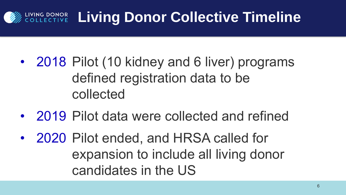# **VING DONOR Living Donor Collective Timeline**

- 2018 Pilot (10 kidney and 6 liver) programs defined registration data to be collected
- 2019 Pilot data were collected and refined
- 2020 Pilot ended, and HRSA called for expansion to include all living donor candidates in the US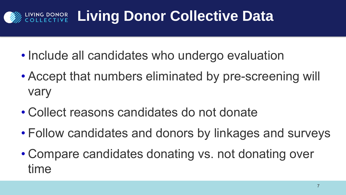# ING DONOR Living Donor Collective Data

- Include all candidates who undergo evaluation
- Accept that numbers eliminated by pre-screening will vary
- Collect reasons candidates do not donate
- Follow candidates and donors by linkages and surveys
- Compare candidates donating vs. not donating over time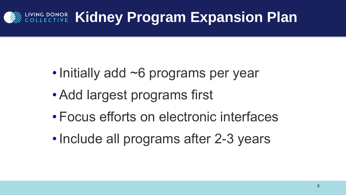## **EIVING DONOR Kidney Program Expansion Plan**

- Initially add ~6 programs per year
- •Add largest programs first
- Focus efforts on electronic interfaces
- Include all programs after 2-3 years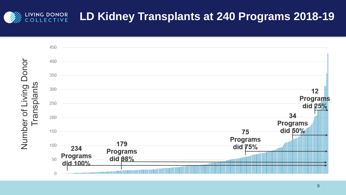#### LIVING DONOR<br>COLLECTIVE **LD Kidney Transplants at 240 Programs 2018-19**

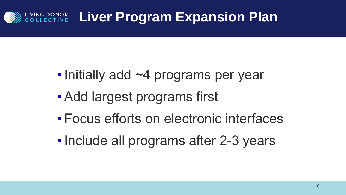### **ING DONOR Liver Program Expansion Plan**

- Initially add ~4 programs per year
- •Add largest programs first
- Focus efforts on electronic interfaces
- Include all programs after 2-3 years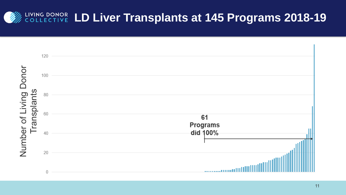#### LIVING DONOR LD Liver Transplants at 145 Programs 2018-19

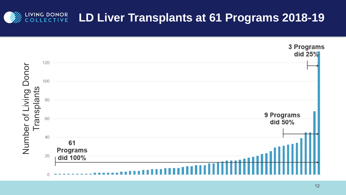#### LIVING DONOR<br>COLLECTIVE **LD Liver Transplants at 61 Programs 2018-19**

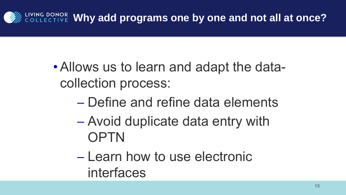

- •Allows us to learn and adapt the datacollection process:
	- ─ Define and refine data elements
	- ─ Avoid duplicate data entry with **OPTN**
	- ─ Learn how to use electronic interfaces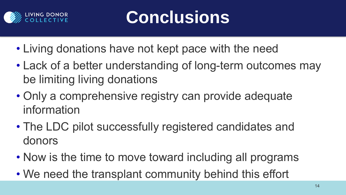

# **Conclusions**

- Living donations have not kept pace with the need
- Lack of a better understanding of long-term outcomes may be limiting living donations
- Only a comprehensive registry can provide adequate information
- The LDC pilot successfully registered candidates and donors
- Now is the time to move toward including all programs
- We need the transplant community behind this effort